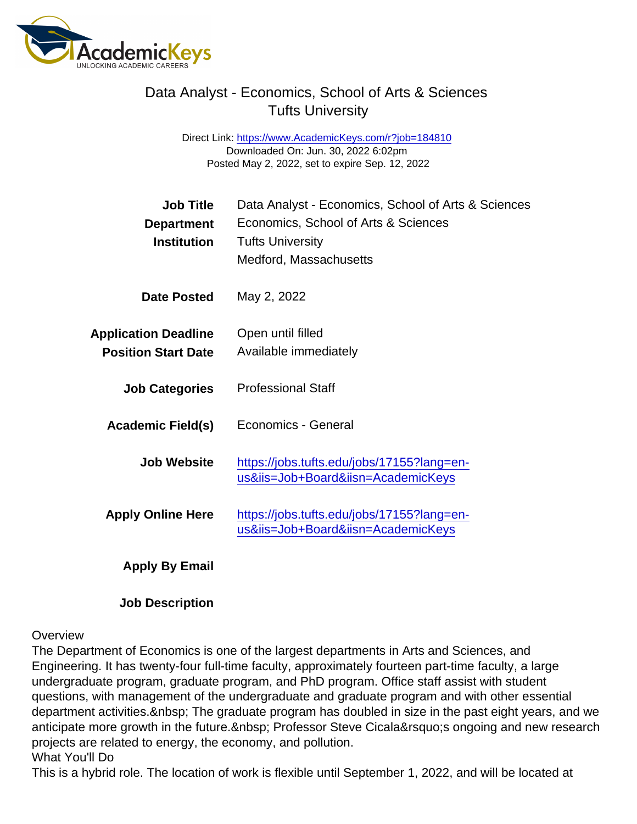## Data Analyst - Economics, School of Arts & Sciences Tufts University

Direct Link: <https://www.AcademicKeys.com/r?job=184810> Downloaded On: Jun. 30, 2022 6:02pm Posted May 2, 2022, set to expire Sep. 12, 2022

| Job Title                   | Data Analyst - Economics, School of Arts & Sciences                              |
|-----------------------------|----------------------------------------------------------------------------------|
| Department                  | Economics, School of Arts & Sciences                                             |
| Institution                 | <b>Tufts University</b>                                                          |
|                             | Medford, Massachusetts                                                           |
| Date Posted                 | May 2, 2022                                                                      |
| <b>Application Deadline</b> | Open until filled                                                                |
| <b>Position Start Date</b>  | Available immediately                                                            |
| <b>Job Categories</b>       | <b>Professional Staff</b>                                                        |
| Academic Field(s)           | Economics - General                                                              |
| Job Website                 | https://jobs.tufts.edu/jobs/17155?lang=en-<br>us&iis=Job+Board&iisn=AcademicKeys |
| <b>Apply Online Here</b>    | https://jobs.tufts.edu/jobs/17155?lang=en-<br>us&iis=Job+Board&iisn=AcademicKeys |
| Apply By Email              |                                                                                  |

Job Description

## **Overview**

The Department of Economics is one of the largest departments in Arts and Sciences, and Engineering. It has twenty-four full-time faculty, approximately fourteen part-time faculty, a large undergraduate program, graduate program, and PhD program. Office staff assist with student questions, with management of the undergraduate and graduate program and with other essential department activities. & nbsp; The graduate program has doubled in size in the past eight years, and we anticipate more growth in the future. Professor Steve Cicala' songoing and new research projects are related to energy, the economy, and pollution. What You'll Do

This is a hybrid role. The location of work is flexible until September 1, 2022, and will be located at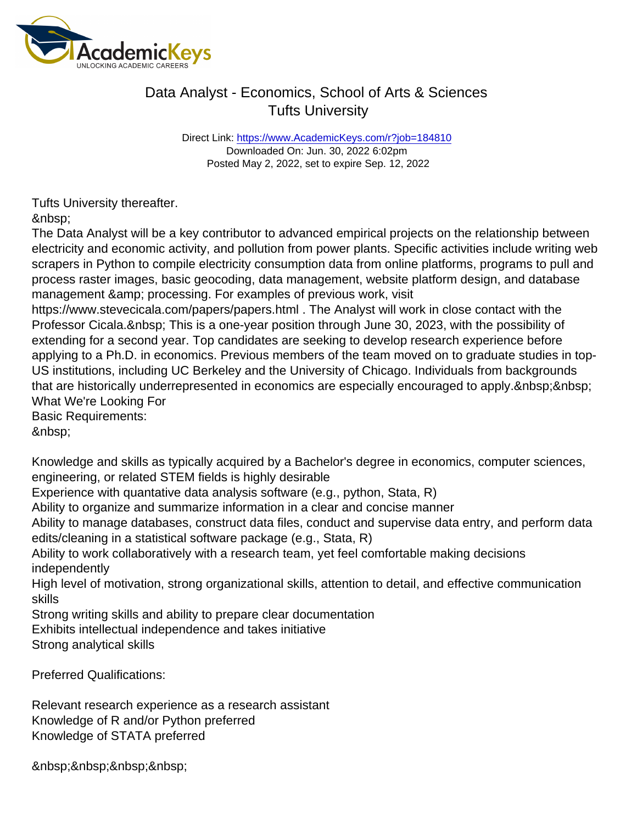## Data Analyst - Economics, School of Arts & Sciences Tufts University

Direct Link: <https://www.AcademicKeys.com/r?job=184810> Downloaded On: Jun. 30, 2022 6:02pm Posted May 2, 2022, set to expire Sep. 12, 2022

Tufts University thereafter.

The Data Analyst will be a key contributor to advanced empirical projects on the relationship between electricity and economic activity, and pollution from power plants. Specific activities include writing web scrapers in Python to compile electricity consumption data from online platforms, programs to pull and process raster images, basic geocoding, data management, website platform design, and database management & amp; processing. For examples of previous work, visit

https://www.stevecicala.com/papers/papers.html . The Analyst will work in close contact with the Professor Cicala. This is a one-year position through June 30, 2023, with the possibility of extending for a second year. Top candidates are seeking to develop research experience before applying to a Ph.D. in economics. Previous members of the team moved on to graduate studies in top-US institutions, including UC Berkeley and the University of Chicago. Individuals from backgrounds that are historically underrepresented in economics are especially encouraged to apply. What We're Looking For

Basic Requirements:

Knowledge and skills as typically acquired by a Bachelor's degree in economics, computer sciences, engineering, or related STEM fields is highly desirable

Experience with quantative data analysis software (e.g., python, Stata, R)

Ability to organize and summarize information in a clear and concise manner

Ability to manage databases, construct data files, conduct and supervise data entry, and perform data edits/cleaning in a statistical software package (e.g., Stata, R)

Ability to work collaboratively with a research team, yet feel comfortable making decisions independently

High level of motivation, strong organizational skills, attention to detail, and effective communication skills

Strong writing skills and ability to prepare clear documentation

Exhibits intellectual independence and takes initiative

Strong analytical skills

Preferred Qualifications:

Relevant research experience as a research assistant Knowledge of R and/or Python preferred Knowledge of STATA preferred